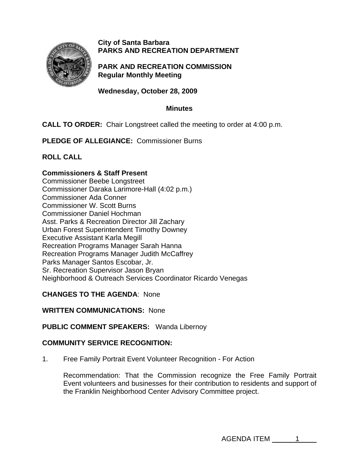

## **City of Santa Barbara PARKS AND RECREATION DEPARTMENT**

**PARK AND RECREATION COMMISSION Regular Monthly Meeting** 

**Wednesday, October 28, 2009** 

#### **Minutes**

### **CALL TO ORDER:** Chair Longstreet called the meeting to order at 4:00 p.m.

**PLEDGE OF ALLEGIANCE:** Commissioner Burns

**ROLL CALL** 

## **Commissioners & Staff Present**

Commissioner Beebe Longstreet Commissioner Daraka Larimore-Hall (4:02 p.m.) Commissioner Ada Conner Commissioner W. Scott Burns Commissioner Daniel Hochman Asst. Parks & Recreation Director Jill Zachary Urban Forest Superintendent Timothy Downey Executive Assistant Karla Megill Recreation Programs Manager Sarah Hanna Recreation Programs Manager Judith McCaffrey Parks Manager Santos Escobar, Jr. Sr. Recreation Supervisor Jason Bryan Neighborhood & Outreach Services Coordinator Ricardo Venegas

### **CHANGES TO THE AGENDA**: None

**WRITTEN COMMUNICATIONS:** None

### **PUBLIC COMMENT SPEAKERS:** Wanda Libernoy

### **COMMUNITY SERVICE RECOGNITION:**

1. Free Family Portrait Event Volunteer Recognition - For Action

Recommendation: That the Commission recognize the Free Family Portrait Event volunteers and businesses for their contribution to residents and support of the Franklin Neighborhood Center Advisory Committee project.

AGENDA ITEM 1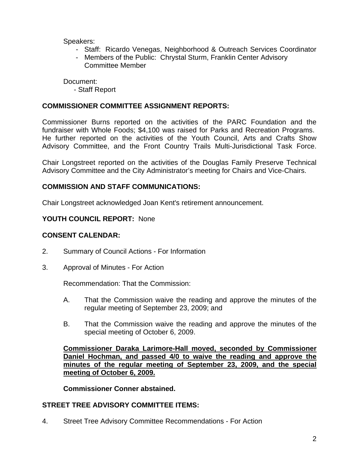Speakers:

- Staff: Ricardo Venegas, Neighborhood & Outreach Services Coordinator
- Members of the Public: Chrystal Sturm, Franklin Center Advisory Committee Member

Document:

- Staff Report

## **COMMISSIONER COMMITTEE ASSIGNMENT REPORTS:**

Commissioner Burns reported on the activities of the PARC Foundation and the fundraiser with Whole Foods; \$4,100 was raised for Parks and Recreation Programs. He further reported on the activities of the Youth Council, Arts and Crafts Show Advisory Committee, and the Front Country Trails Multi-Jurisdictional Task Force.

Chair Longstreet reported on the activities of the Douglas Family Preserve Technical Advisory Committee and the City Administrator's meeting for Chairs and Vice-Chairs.

### **COMMISSION AND STAFF COMMUNICATIONS:**

Chair Longstreet acknowledged Joan Kent's retirement announcement.

### **YOUTH COUNCIL REPORT:** None

# **CONSENT CALENDAR:**

- 2. Summary of Council Actions For Information
- 3. Approval of Minutes For Action

Recommendation: That the Commission:

- A. That the Commission waive the reading and approve the minutes of the regular meeting of September 23, 2009; and
- B. That the Commission waive the reading and approve the minutes of the special meeting of October 6, 2009.

**Commissioner Daraka Larimore-Hall moved, seconded by Commissioner Daniel Hochman, and passed 4/0 to waive the reading and approve the minutes of the regular meeting of September 23, 2009, and the special meeting of October 6, 2009.** 

**Commissioner Conner abstained.** 

### **STREET TREE ADVISORY COMMITTEE ITEMS:**

4. Street Tree Advisory Committee Recommendations - For Action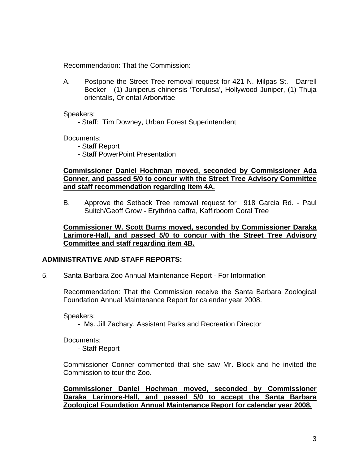Recommendation: That the Commission:

 A. Postpone the Street Tree removal request for 421 N. Milpas St. - Darrell Becker - (1) Juniperus chinensis 'Torulosa', Hollywood Juniper, (1) Thuja orientalis, Oriental Arborvitae

Speakers:

- Staff: Tim Downey, Urban Forest Superintendent

Documents:

- Staff Report
- Staff PowerPoint Presentation

#### **Commissioner Daniel Hochman moved, seconded by Commissioner Ada Conner, and passed 5/0 to concur with the Street Tree Advisory Committee and staff recommendation regarding item 4A.**

B. Approve the Setback Tree removal request for 918 Garcia Rd. - Paul Suitch/Geoff Grow - Erythrina caffra, Kaffirboom Coral Tree

#### **Commissioner W. Scott Burns moved, seconded by Commissioner Daraka Larimore-Hall, and passed 5/0 to concur with the Street Tree Advisory Committee and staff regarding item 4B.**

### **ADMINISTRATIVE AND STAFF REPORTS:**

5. Santa Barbara Zoo Annual Maintenance Report - For Information

Recommendation: That the Commission receive the Santa Barbara Zoological Foundation Annual Maintenance Report for calendar year 2008.

Speakers:

- Ms. Jill Zachary, Assistant Parks and Recreation Director

Documents:

- Staff Report

Commissioner Conner commented that she saw Mr. Block and he invited the Commission to tour the Zoo.

**Commissioner Daniel Hochman moved, seconded by Commissioner Daraka Larimore-Hall, and passed 5/0 to accept the Santa Barbara Zoological Foundation Annual Maintenance Report for calendar year 2008.**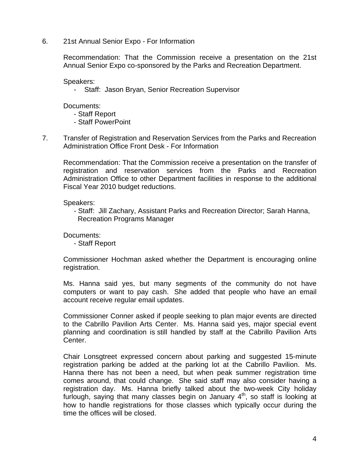6. 21st Annual Senior Expo - For Information

Recommendation: That the Commission receive a presentation on the 21st Annual Senior Expo co-sponsored by the Parks and Recreation Department.

Speakers:

Staff: Jason Bryan, Senior Recreation Supervisor

Documents:

- Staff Report
- Staff PowerPoint
- 7. Transfer of Registration and Reservation Services from the Parks and Recreation Administration Office Front Desk - For Information

Recommendation: That the Commission receive a presentation on the transfer of registration and reservation services from the Parks and Recreation Administration Office to other Department facilities in response to the additional Fiscal Year 2010 budget reductions.

Speakers:

- Staff: Jill Zachary, Assistant Parks and Recreation Director; Sarah Hanna, Recreation Programs Manager

Documents:

- Staff Report

 Commissioner Hochman asked whether the Department is encouraging online registration.

 Ms. Hanna said yes, but many segments of the community do not have computers or want to pay cash. She added that people who have an email account receive regular email updates.

Commissioner Conner asked if people seeking to plan major events are directed to the Cabrillo Pavilion Arts Center. Ms. Hanna said yes, major special event planning and coordination is still handled by staff at the Cabrillo Pavilion Arts Center.

Chair Lonsgtreet expressed concern about parking and suggested 15-minute registration parking be added at the parking lot at the Cabrillo Pavilion. Ms. Hanna there has not been a need, but when peak summer registration time comes around, that could change. She said staff may also consider having a registration day. Ms. Hanna briefly talked about the two-week City holiday furlough, saying that many classes begin on January  $4<sup>th</sup>$ , so staff is looking at how to handle registrations for those classes which typically occur during the time the offices will be closed.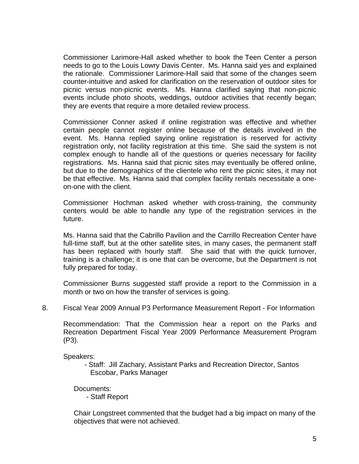Commissioner Larimore-Hall asked whether to book the Teen Center a person needs to go to the Louis Lowry Davis Center. Ms. Hanna said yes and explained the rationale. Commissioner Larimore-Hall said that some of the changes seem counter-intuitive and asked for clarification on the reservation of outdoor sites for picnic versus non-picnic events. Ms. Hanna clarified saying that non-picnic events include photo shoots, weddings, outdoor activities that recently began; they are events that require a more detailed review process.

Commissioner Conner asked if online registration was effective and whether certain people cannot register online because of the details involved in the event. Ms. Hanna replied saying online registration is reserved for activity registration only, not facility registration at this time. She said the system is not complex enough to handle all of the questions or queries necessary for facility registrations. Ms. Hanna said that picnic sites may eventually be offered online, but due to the demographics of the clientele who rent the picnic sites, it may not be that effective. Ms. Hanna said that complex facility rentals necessitate a oneon-one with the client.

Commissioner Hochman asked whether with cross-training, the community centers would be able to handle any type of the registration services in the future.

Ms. Hanna said that the Cabrillo Pavilion and the Carrillo Recreation Center have full-time staff, but at the other satellite sites, in many cases, the permanent staff has been replaced with hourly staff. She said that with the quick turnover, training is a challenge; it is one that can be overcome, but the Department is not fully prepared for today.

Commissioner Burns suggested staff provide a report to the Commission in a month or two on how the transfer of services is going.

8. Fiscal Year 2009 Annual P3 Performance Measurement Report - For Information

Recommendation: That the Commission hear a report on the Parks and Recreation Department Fiscal Year 2009 Performance Measurement Program (P3).

Speakers:

 - Staff: Jill Zachary, Assistant Parks and Recreation Director, Santos Escobar, Parks Manager

Documents:

- Staff Report

Chair Longstreet commented that the budget had a big impact on many of the objectives that were not achieved.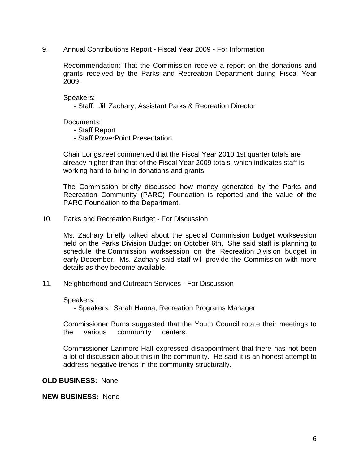9. Annual Contributions Report - Fiscal Year 2009 - For Information

Recommendation: That the Commission receive a report on the donations and grants received by the Parks and Recreation Department during Fiscal Year 2009.

Speakers:

- Staff: Jill Zachary, Assistant Parks & Recreation Director

Documents:

- Staff Report
- Staff PowerPoint Presentation

Chair Longstreet commented that the Fiscal Year 2010 1st quarter totals are already higher than that of the Fiscal Year 2009 totals, which indicates staff is working hard to bring in donations and grants.

The Commission briefly discussed how money generated by the Parks and Recreation Community (PARC) Foundation is reported and the value of the PARC Foundation to the Department.

10. Parks and Recreation Budget - For Discussion

Ms. Zachary briefly talked about the special Commission budget worksession held on the Parks Division Budget on October 6th. She said staff is planning to schedule the Commission worksession on the Recreation Division budget in early December. Ms. Zachary said staff will provide the Commission with more details as they become available.

11. Neighborhood and Outreach Services - For Discussion

Speakers:

- Speakers: Sarah Hanna, Recreation Programs Manager

Commissioner Burns suggested that the Youth Council rotate their meetings to the various community centers.

Commissioner Larimore-Hall expressed disappointment that there has not been a lot of discussion about this in the community. He said it is an honest attempt to address negative trends in the community structurally.

#### **OLD BUSINESS:** None

**NEW BUSINESS:** None